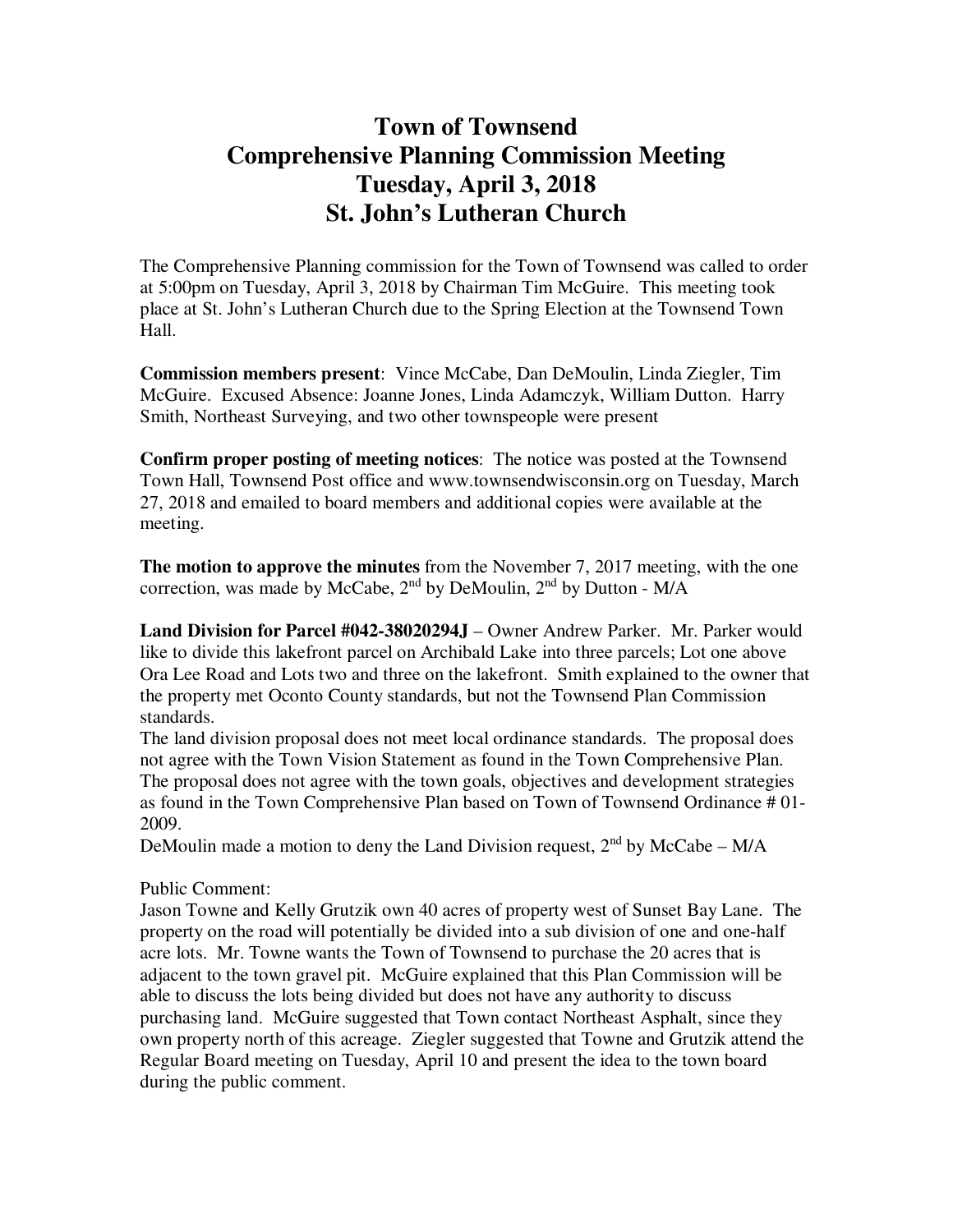## **Town of Townsend Comprehensive Planning Commission Meeting Tuesday, April 3, 2018 St. John's Lutheran Church**

The Comprehensive Planning commission for the Town of Townsend was called to order at 5:00pm on Tuesday, April 3, 2018 by Chairman Tim McGuire. This meeting took place at St. John's Lutheran Church due to the Spring Election at the Townsend Town Hall.

**Commission members present**: Vince McCabe, Dan DeMoulin, Linda Ziegler, Tim McGuire. Excused Absence: Joanne Jones, Linda Adamczyk, William Dutton. Harry Smith, Northeast Surveying, and two other townspeople were present

**Confirm proper posting of meeting notices**: The notice was posted at the Townsend Town Hall, Townsend Post office and www.townsendwisconsin.org on Tuesday, March 27, 2018 and emailed to board members and additional copies were available at the meeting.

**The motion to approve the minutes** from the November 7, 2017 meeting, with the one correction, was made by McCabe,  $2<sup>nd</sup>$  by DeMoulin,  $2<sup>nd</sup>$  by Dutton - M/A

**Land Division for Parcel #042-38020294J** – Owner Andrew Parker. Mr. Parker would like to divide this lakefront parcel on Archibald Lake into three parcels; Lot one above Ora Lee Road and Lots two and three on the lakefront. Smith explained to the owner that the property met Oconto County standards, but not the Townsend Plan Commission standards.

The land division proposal does not meet local ordinance standards. The proposal does not agree with the Town Vision Statement as found in the Town Comprehensive Plan. The proposal does not agree with the town goals, objectives and development strategies as found in the Town Comprehensive Plan based on Town of Townsend Ordinance # 01- 2009.

DeMoulin made a motion to deny the Land Division request,  $2<sup>nd</sup>$  by McCabe – M/A

## Public Comment:

Jason Towne and Kelly Grutzik own 40 acres of property west of Sunset Bay Lane. The property on the road will potentially be divided into a sub division of one and one-half acre lots. Mr. Towne wants the Town of Townsend to purchase the 20 acres that is adjacent to the town gravel pit. McGuire explained that this Plan Commission will be able to discuss the lots being divided but does not have any authority to discuss purchasing land. McGuire suggested that Town contact Northeast Asphalt, since they own property north of this acreage. Ziegler suggested that Towne and Grutzik attend the Regular Board meeting on Tuesday, April 10 and present the idea to the town board during the public comment.